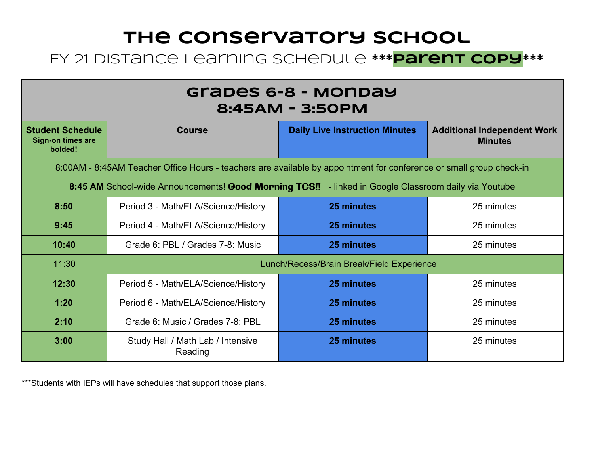## **The Conservatory School** FY 21 Distance Learning Schedule **\*\*\*Parent Copy\*\*\***

| Grabes 6-8 - Monday<br>8:45AM - 3:50PM                                                                              |                                              |                                       |                                                      |  |
|---------------------------------------------------------------------------------------------------------------------|----------------------------------------------|---------------------------------------|------------------------------------------------------|--|
| <b>Student Schedule</b><br><b>Sign-on times are</b><br>bolded!                                                      | <b>Course</b>                                | <b>Daily Live Instruction Minutes</b> | <b>Additional Independent Work</b><br><b>Minutes</b> |  |
| 8:00AM - 8:45AM Teacher Office Hours - teachers are available by appointment for conference or small group check-in |                                              |                                       |                                                      |  |
| 8:45 AM School-wide Announcements! Good Morning TCS!! - linked in Google Classroom daily via Youtube                |                                              |                                       |                                                      |  |
| 8:50                                                                                                                | Period 3 - Math/ELA/Science/History          | 25 minutes                            | 25 minutes                                           |  |
| 9:45                                                                                                                | Period 4 - Math/ELA/Science/History          | 25 minutes                            | 25 minutes                                           |  |
| 10:40                                                                                                               | Grade 6: PBL / Grades 7-8: Music             | 25 minutes                            | 25 minutes                                           |  |
| 11:30                                                                                                               | Lunch/Recess/Brain Break/Field Experience    |                                       |                                                      |  |
| 12:30                                                                                                               | Period 5 - Math/ELA/Science/History          | 25 minutes                            | 25 minutes                                           |  |
| 1:20                                                                                                                | Period 6 - Math/ELA/Science/History          | 25 minutes                            | 25 minutes                                           |  |
| 2:10                                                                                                                | Grade 6: Music / Grades 7-8: PBL             | 25 minutes                            | 25 minutes                                           |  |
| 3:00                                                                                                                | Study Hall / Math Lab / Intensive<br>Reading | 25 minutes                            | 25 minutes                                           |  |

\*\*\*Students with IEPs will have schedules that support those plans.